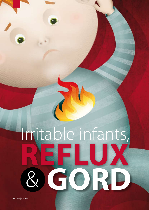# Irritable infants, **REFLUX** & **GORD**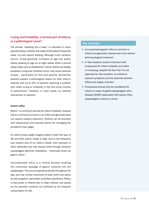# **Crying and irritability: a normal part of infancy or a pathological cause?**

The phrase "sleeping like a baby" is intended to mean peaceful sleep, however, the reality is that babies frequently wake, cry and require feeding. Although much variation occurs, crying generally increases at age two weeks before peaking at age six to eight weeks while a diurnal sleep/wake cycle is established.<sup>1</sup> Some infants will display excessive crying and irritability which may cause parental anxiety – particularly for first time parents. Sometimes parents suspect a pathological reason for their infant's distress with up to 20% of parents reporting a problem with infant crying or irritability in the first three months of parenthood.2 However, in most cases, no medical intervention is required.

## **Gastric reflux**

"Reflux" is commonly blamed for infant irritability, however, this is a normal occurrence in an infant and generally does not require medical treatment. Parents can be provided with reassurance and practical advice for managing the symptoms (over page).

An infant's body weight roughly triples in their first year of life and their caloric intake is high. Due to the frequency and relative size of an infant's feeds, their stomach is often distended and may require relief through transient oesophageal sphincter relaxations – otherwise known as gastric reflux.3

Uncomplicated reflux is a normal process involving the involuntary passage of gastric contents into the oesophagus. This occurs asymptomatically throughout the day, and may involve movement of food, drink and saliva, as well as gastric, pancreatic and biliary secretions. Reflux is less acidic in infants than in older children and adults, as the stomach contents are buffered by the frequent consumption of milk.

## **Key Concepts**

- Uncomplicated gastric reflux is common in infants and generally resolves over time without pharmacological treatment
- In New Zealand, empiric treatment with omeprazole for infant irritability and reflux is increasing, despite the fact that it is not approved for this condition, is unlikely to improve symptoms and the potential adverse effects are largely unknown
- Omeprazole should only be considered for infants in cases of gastro-oesophageal reflux disease (GORD) associated with severe reflux oesophagitis or failure to thrive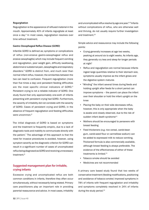## **Regurgitation**

Regurgitation is the appearance of refluxed material in the mouth. Approximately 40% of infants regurgitate at least once a day.4 In most cases, regurgitation resolves over time without treatment.

### **Gastro-Oesophageal Reflux Disease (GORD)**

Infantile GORD is defined as; symptoms or complications of reflux (non-erosive gastro-oesophageal reflux and erosive oesophagitis) which may include frequent vomiting and regurgitation, poor weight gain, difficulty swallowing, abdominal or substernal pain, oesophagitis and respiratory disorders.<sup>5</sup> GORD is distinct from, and much rarer than normal infant reflux, however, the similarities between the two can lead to confusion. Frequent regurgitation (more than five times a day) and persistent feeding difficulties are the most specific clinical indicators of GORD.<sup>6</sup> Persistent crying is not a reliable indicator of GORD. One study found that only approximately one-sixth of infants presenting with persistent crying had GORD. Furthermore, the severity of irritability did not correlate with the severity of GORD. Cases of persistent crying and GORD, in the absence of frequent regurgitation and feeding difficulties were uncommon.<sup>6</sup>

The initial diagnosis of GORD is based on symptoms and the treatment is frequently empiric, due to a lack of diagnostic tools and inability to communicate directly with the patient. $7$  The advantage of this approach is that the need for invasive procedures is avoided, however, using symptom severity as the diagnostic criterion for GORD can result in a significant number of cases of uncomplicated reflux being diagnosed as GORD and receiving unnecessary treatment<sup>8</sup>

# **Suggested management plan for irritable, crying infants**

Excessive crying and uncomplicated reflux are both common conditions in infants, therefore they often occur simultaneously, without necessarily being related. Primary care practitioners play an important role in providing parental reassurance and advice. In most cases, irritability and uncomplicated reflux resolve by age one year.<sup>6,9</sup> Infants without complications of reflux, who are otherwise well and thriving, do not usually require further investigation and treatment.<sup>10</sup>

Simple advice and reassurance may include the following points:

- Crying generally increases at age two weeks, peaking at around six to eight weeks. As infants age, they generally cry less and sleep for longer periods at night $1$
- Reflux and regurgitation are normal because infants ingest large quantities relative to their stomach size, symptoms usually improve as the infant grows and the digestive system matures
- "Winding" the infant several times during feeds and holding upright after feeds for a short period can improve symptoms – the parent can place the infant over their shoulder or hold the infant upright on the knee
- Placing the baby on their side decreases reflux, however, this is only appropriate when the baby is awake and closely observed, due to the risk of sudden infant death syndrome<sup>11</sup>
- Mothers should be encouraged to persevere with breast feeding
- **•** Feed thickeners (e.g. rice cereal, carob-bean gum, carob-seed flour or carmellose sodium) can be added to expressed milk to reduce vomiting. Thickened formula is also commercially available, although breast feeding is always preferable. The evidence of the effectiveness of either of these treatments is limited.<sup>11</sup>
- Tobacco smoke should be avoided
- Medicines are not recommended

A primary care based study found that two weeks of conservative treatment (feeding modifications, positioning and avoidance of tobacco smoke) improved symptoms in 78% of infants with frequent regurgitation and irritability and symptoms completely resolved in 24% of infants during the study period.<sup>12</sup>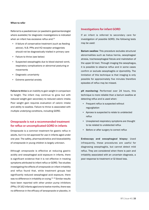### **When to refer**

Referral to a paediatrician (or paediatric gastroenterologist where available) for diagnostic investigations is indicated when an infant has excessive reflux and:<sup>10</sup>

- A failure of conservative treatment (such as feeding advice). N.B. PPIs and H2-receptor antagonists should not be diagnostically trialled in primary care
- Failure to thrive (see below)
- Suspected oesophagitis due to blood stained vomit, respiratory complications or abnormal posturing or movements
- **Diagnostic uncertainty**
- **Extreme parental anxiety**

Failure to thrive is an inability to gain weight in comparison to height. The infant may continue to grow but with reduced weight gain secondary to reduced caloric intake. Poor weight gain requires evaluation of caloric intake and ability to swallow. Failure to thrive is associated with multiple underlying conditions, including GORD.

# **Omeprazole is not a recommended treatment for reflux or uncomplicated GORD in infants**

Omeprazole is a common treatment for gastric reflux in adults, but it is not approved for use in infants aged under one year. The safety, pharmacokinetics and bioavailability of omeprazole in young children is largely unknown.

Although omeprazole is effective at reducing gastric acidity and oesophageal acid exposure in infants, there is significant evidence that it is not effective in treating symptoms attributed to infant reflux or GORD. Two studies investigating the effects of omeprazole on infant irritability and reflux found that, while treatment groups had significantly reduced oesophageal acid exposure, there was no difference in irritability or crying.<sup>15, 16</sup> Similar results have been reported with other proton pump inhibitors (PPIs). Of 162 infants aged one to twelve months, there was no difference in the efficacy of lansoprazole or placebo, in

## **Investigations for infant GORD**

If an infant is referred to secondary care for investigation of possible GORD, the following tests may be used:

Barium swallow: This procedure excludes structural abnormalities such as hiatus hernia, oesophageal atresia, tracheosophageal fistula and malrotation of the upper GI tract. Through imaging the oesophagus, it is possible to observe reflux and in some cases confirm or exclude oesophagitis or dysmotility. The limitation of this technique is that imaging is only possible for approximately five minutes therefore episodes of reflux may be missed.

pH monitoring: Performed over 24 hours, this technique is more reliable than a barium swallow at detecting reflux and is used when:

- Frequent reflux is suspected without regurgitation
- Apnoea is suspected to relate to undetected reflux
- Unexplained respiratory symptoms are thought to be related to undetected reflux
- **EXECT:** Before or after surgery to correct reflux

Endoscopy and oesophageal biopsy: Used infrequently, these procedures are useful for diagnosing oesophagitis, but cannot detect mild reflux. They are considered when there is pain and irritability associated with an uncertain diagnosis, a poor response to treatment or GI blood loss.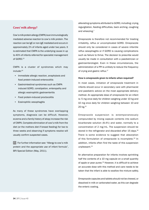# **Cows' milk allergy?**

Cow's milk protein allergy (CMPA) is an immunologically mediated adverse reaction to cow's milk protein. The reaction can be IgE or non-IgE mediated and occurs in approximately 2% of infants aged under two years. It is estimated that CMPA is the underlying cause in up to 40% of infants referred for specialist management of GORD.<sup>13</sup>

CMPA is a cluster of syndromes which may include:14

- Immediate allergic reaction, anaphylaxis and food protein-induced enterocolitis
- Gastrointestinal syndromes such as CMPA induced GORD, constipation, enteropathy and allergic eosinophilic gastroenteritis
- Food protein-induced proctocolitis
- Eosinophilic oesophagitis

As many of these syndromes have overlapping symptoms, diagnosis can be difficult. However, eczema and a family history of atopy increase the risk of CMPA. Complete elimination of cow's milk from the diet (or the mothers diet if breast feeding) for two to three weeks and observing if symptoms resolve will usually confirm suspected cases.

 $\mathbb{G}$  For further information see: "Allergy to cow's milk protein and the appropriate use of infant formula", BPJ Special Edition (May, 2011).

alleviating symptoms attributed to GORD, including; crying, regurgitation, feeding difficulties, back arching, coughing and wheezing.7

Omeprazole is therefore not recommended for treating irritability, reflux or uncomplicated GORD. Omeprazole should only be considered in cases of severe infantile reflux oesophagitis or if GORD is causing complications such as failure to thrive. The decision to prescribe would usually be made in consultation with a paediatrician or gastroenterologist. Even in these circumstances, the administration of a PPI is unlikely to reduce the frequency of crying and gastric reflux.17

#### **How is omeprazole given to infants when required?**

In most cases, initiation of omeprazole treatment in infants should occur in secondary care with pharmacist and paediatric advice on the most appropriate delivery method. An appropriate dose of omeprazole for an infant is: 5 mg once daily for children weighing under 10 kg and 10 mg once daily for children weighing between 10 and 20 kg.10

Omeprazole suspension is extemporaneously compounded by mixing capsule contents into sodium bicarbonate solution (8.4%) and water, normally to a concentration of 2 mg/mL. The suspension should be stored in the refrigerator and discarded after 15 days.<sup>18</sup> There is some evidence to suggest that absorption of this formulation of omeprazole is incomplete.<sup>20</sup> In addition, infants often find the taste of this suspension unpleasant.19

An alternative preparation for infants involves sprinkling half the contents of a 10 mg capsule on a small quantity of apple or pear puree.<sup>20</sup> However, it is difficult to achieve an accurate dose with this method and care needs to be taken that the infant is able to swallow the mixture safely.

Omeprazole capsules and tablets should not be chewed, or dissolved in milk or carbonated water, as this can degrade the enteric coating.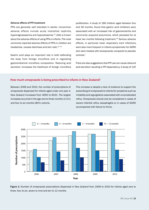## **Adverse effects of PPI treatment**

PPIs are generally well tolerated in adults. Uncommon adverse effects include acute interstitial nephritis, hypomagnaesaemia and hypocalcaemia.21 Little is known about the adverse effects of using PPIs in infants. The most commonly reported adverse effects of PPIs in children are headaches, nausea diarrhoea and skin rash.<sup>22, 23</sup>

Gastric acid plays an important role in both defending the body from foreign microflora and in regulating gastrointestinal microflora composition. Reducing acid secretion increases the likelihood of foreign microflora

proliferation. A study of 186 children aged between four and 36 months, found that gastric acid inhibitors were associated with an increased risk of gastroenteritis and community acquired pneumonia, which persisted for at least two months following treatment.<sup>24</sup> Serious adverse effects, in particular lower respiratory tract infections, were also more frequent in infants symptomatic for GORD who were treated with lansoprazole compared to placebo controls.7

There are also suggestions that PPI use can cause rebound acid secretion resulting in PPI dependency. A study of 120

## **How much omeprazole is being prescribed to infants in New Zealand?**

Between 2006 and 2010, the number of prescriptions of omeprazole dispensed for infants aged under one year in New Zealand increased from 4650 to 8231. The largest increases occurred in the age zero to three months (111%) and four to six months (80%) cohorts.

This increase is despite a lack of evidence to support the prescribing of omeprazole to infants for symptoms such as irritability and regurgitation associated with uncomplicated reflux. Omeprazole should only be considered in cases of severe infantile reflux oesophagitis or in cases of GORD accompanied with failure to thrive.



Figure 1: Number of omeprazole prescriptions dispensed in New Zealand from 2006 to 2010 for infants aged zero to three, four to six, seven to nine and ten to 12 months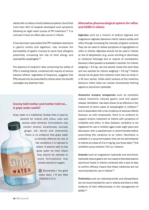adults with no history of acid related symptoms, found that more than 40% of subjects developed such symptoms following an eight week course of PPI treatment.25 It is unknown if such an effect also occurs in infants.

It has also been speculated that PPI mediated reductions in gastric acidity and digestion, may increase the permeability of gastric mucosa to some food allergens, potentially increasing the risk of food allergy and eosinophilic esophagitis.26

The absence of long-term data concerning the safety of PPIs in treating infants, combined with reports of serious adverse effects, regardless of frequency, suggests that PPIs should only be prescribed to infants when the benefit outweighs any potential risks.

# **Granny told mother and mother told me... Is gripe water useful?**

Gripe water is a traditional remedy that is used by parents for infants with reflux, colic and various other ailments. Formulations may contain alcohol, bicarbonate, sucrose, ginger, dill, fennel and chamomile. There is no evidence that gripe water is clinically effective for any of the conditions it is claimed to relieve. If parents wish to trial gripe water for their infant, they should be advised to avoid formulations that contain alcohol or sugars.

> $G$  Blumenthal I. The gripe water story. J R Soc Med 2000;93:172-4.

# **Alternative pharmacological options for reflux and GORD in infants**

Alginates such as a mixture of sodium alginate and magnesium alginate (Gaviscon infant) reduce acidity and reflux through increasing the viscosity of gastric contents. They can be used to relieve symptoms of regurgitation or reflux in infants. Alginates should not be used in infants at risk of dehydration (e.g. acute vomiting or diarrhoea) or intestinal blockage due to reports of constipation. Gaviscon infant powder is available in sachets. For infants weighing < 4.5 kg, use one sachet mixed into each feed, and two sachets for infants weighing  $> 4.5$  kg.<sup>10</sup> Infants should not be given this medicine more than six times in a 24 hour period. Unlike adult versions of the medicine, Gaviscon infant does not contain bicarbonate frothing agents or aluminium hydroxide.

Histamine receptor antagonists such as ranitidine reduce histamine induced gastric acid and pepsin release. Ranitidine has been shown to be effective in the treatment of some cases of oesophagitis in children,<sup>27</sup> and is associated with a low incidence of adverse effects. However, as with omeprazole, there is no evidence to support empiric treatment of infants with symptoms of irritability and reflux. In New Zealand, ranitidine is not registered for use in children aged under eight years and discussion with a paediatrician is recommended before prescribing this medicine to an infant. Ranitidine is available in a syrup formulation that can be administered to infants at a dose of 2 to 4 mg/kg, two times daily.<sup>10</sup> N.B. ranitidine syrup contains 7.5% w/v ethanol.

Antacids such as magnesium hydroxide and aluminium hydroxide reduce gastric pH, but cases of elevated plasma aluminium levels in infants combined with a lack of data to confirm efficacy means that these medicines are not recommended for use in infants.28

Prokinetics such as metoclopramide and domperidone are not recommended for use in infants and there is little evidence of their effectiveness in the management of GORD.26